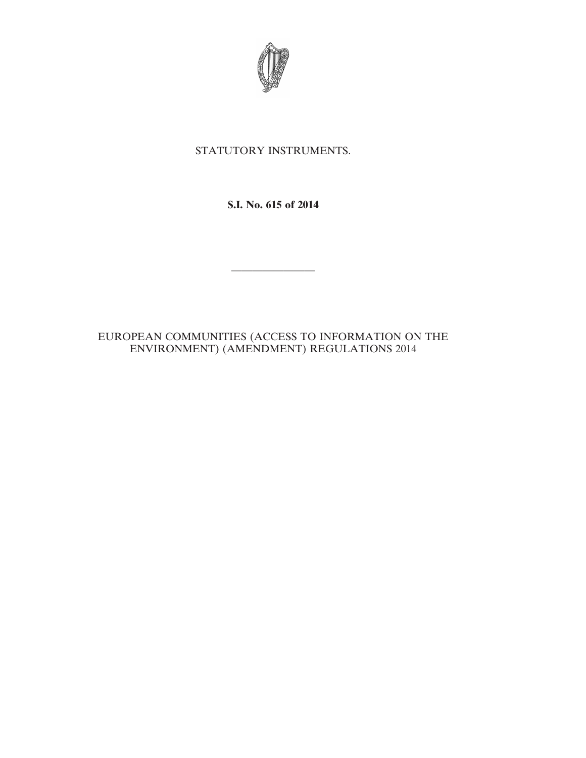

# STATUTORY INSTRUMENTS.

## **S.I. No. 615 of 2014**

————————

### EUROPEAN COMMUNITIES (ACCESS TO INFORMATION ON THE ENVIRONMENT) (AMENDMENT) REGULATIONS 2014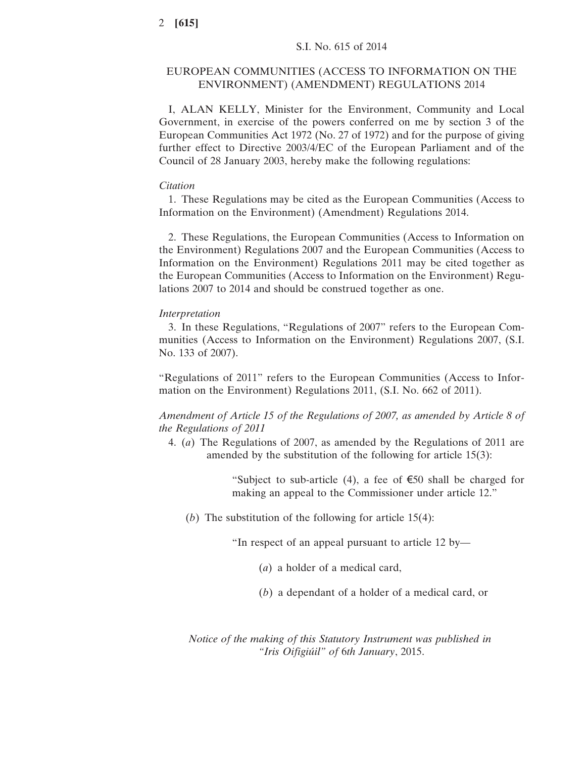### EUROPEAN COMMUNITIES (ACCESS TO INFORMATION ON THE ENVIRONMENT) (AMENDMENT) REGULATIONS 2014

I, ALAN KELLY, Minister for the Environment, Community and Local Government, in exercise of the powers conferred on me by section 3 of the European Communities Act 1972 (No. 27 of 1972) and for the purpose of giving further effect to Directive 2003/4/EC of the European Parliament and of the Council of 28 January 2003, hereby make the following regulations:

#### *Citation*

1. These Regulations may be cited as the European Communities (Access to Information on the Environment) (Amendment) Regulations 2014.

2. These Regulations, the European Communities (Access to Information on the Environment) Regulations 2007 and the European Communities (Access to Information on the Environment) Regulations 2011 may be cited together as the European Communities (Access to Information on the Environment) Regulations 2007 to 2014 and should be construed together as one.

### *Interpretation*

3. In these Regulations, "Regulations of 2007" refers to the European Communities (Access to Information on the Environment) Regulations 2007, (S.I. No. 133 of 2007).

"Regulations of 2011" refers to the European Communities (Access to Information on the Environment) Regulations 2011, (S.I. No. 662 of 2011).

*Amendment of Article 15 of the Regulations of 2007, as amended by Article 8 of the Regulations of 2011*

4. (*a*) The Regulations of 2007, as amended by the Regulations of 2011 are amended by the substitution of the following for article 15(3):

> "Subject to sub-article (4), a fee of  $\epsilon$ 50 shall be charged for making an appeal to the Commissioner under article 12."

(*b*) The substitution of the following for article 15(4):

"In respect of an appeal pursuant to article 12 by—

- (*a*) a holder of a medical card,
- (*b*) a dependant of a holder of a medical card, or

*Notice of the making of this Statutory Instrument was published in "Iris Oifigiúil" of* 6*th January*, 2015.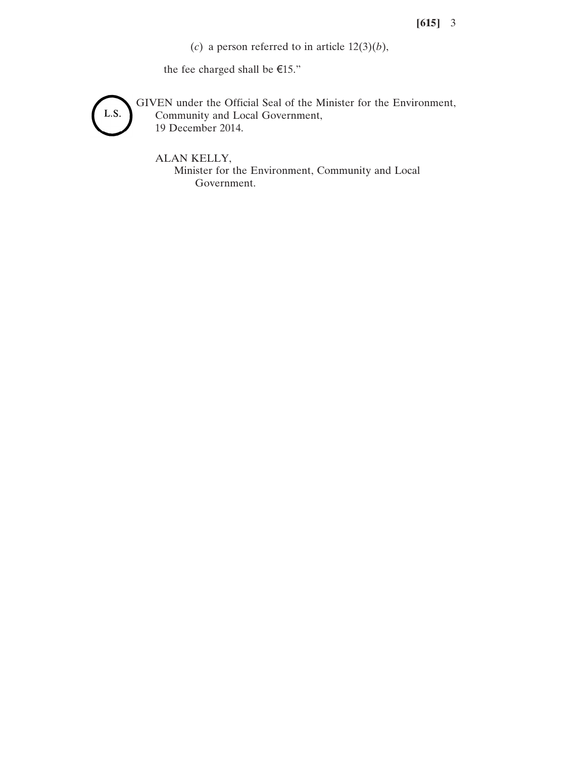# **[615]** 3

(*c*) a person referred to in article  $12(3)(b)$ ,

the fee charged shall be  $\mathsf{E}15."$ 



GIVEN under the Official Seal of the Minister for the Environment, Community and Local Government, 19 December 2014.

ALAN KELLY, Minister for the Environment, Community and Local Government.